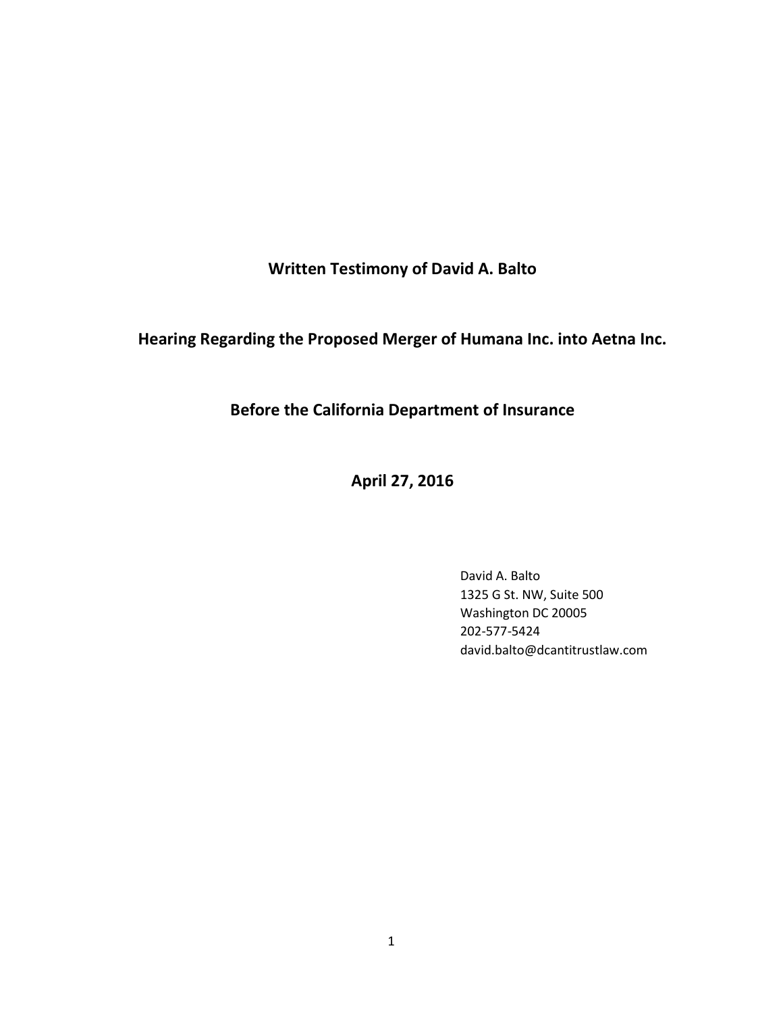Written Testimony of David A. Balto

Hearing Regarding the Proposed Merger of Humana Inc. into Aetna Inc.

Before the California Department of Insurance

April 27, 2016

David A. Balto 1325 G St. NW, Suite 500 Washington DC 20005 202-577-5424 david.balto@dcantitrustlaw.com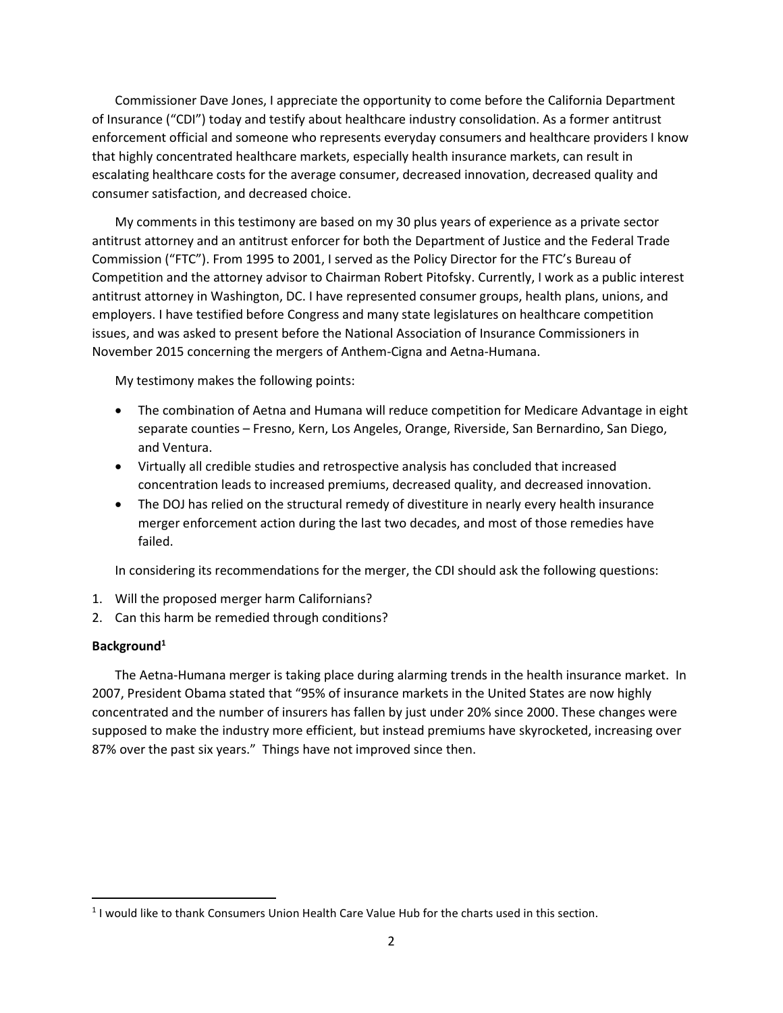Commissioner Dave Jones, I appreciate the opportunity to come before the California Department of Insurance ("CDI") today and testify about healthcare industry consolidation. As a former antitrust enforcement official and someone who represents everyday consumers and healthcare providers I know that highly concentrated healthcare markets, especially health insurance markets, can result in escalating healthcare costs for the average consumer, decreased innovation, decreased quality and consumer satisfaction, and decreased choice.

My comments in this testimony are based on my 30 plus years of experience as a private sector antitrust attorney and an antitrust enforcer for both the Department of Justice and the Federal Trade Commission ("FTC"). From 1995 to 2001, I served as the Policy Director for the FTC's Bureau of Competition and the attorney advisor to Chairman Robert Pitofsky. Currently, I work as a public interest antitrust attorney in Washington, DC. I have represented consumer groups, health plans, unions, and employers. I have testified before Congress and many state legislatures on healthcare competition issues, and was asked to present before the National Association of Insurance Commissioners in November 2015 concerning the mergers of Anthem-Cigna and Aetna-Humana.

My testimony makes the following points:

- The combination of Aetna and Humana will reduce competition for Medicare Advantage in eight separate counties – Fresno, Kern, Los Angeles, Orange, Riverside, San Bernardino, San Diego, and Ventura.
- Virtually all credible studies and retrospective analysis has concluded that increased concentration leads to increased premiums, decreased quality, and decreased innovation.
- The DOJ has relied on the structural remedy of divestiture in nearly every health insurance merger enforcement action during the last two decades, and most of those remedies have failed.

In considering its recommendations for the merger, the CDI should ask the following questions:

- 1. Will the proposed merger harm Californians?
- 2. Can this harm be remedied through conditions?

### Background<sup>1</sup>

The Aetna-Humana merger is taking place during alarming trends in the health insurance market. In 2007, President Obama stated that "95% of insurance markets in the United States are now highly concentrated and the number of insurers has fallen by just under 20% since 2000. These changes were supposed to make the industry more efficient, but instead premiums have skyrocketed, increasing over 87% over the past six years." Things have not improved since then.

 $<sup>1</sup>$  I would like to thank Consumers Union Health Care Value Hub for the charts used in this section.</sup>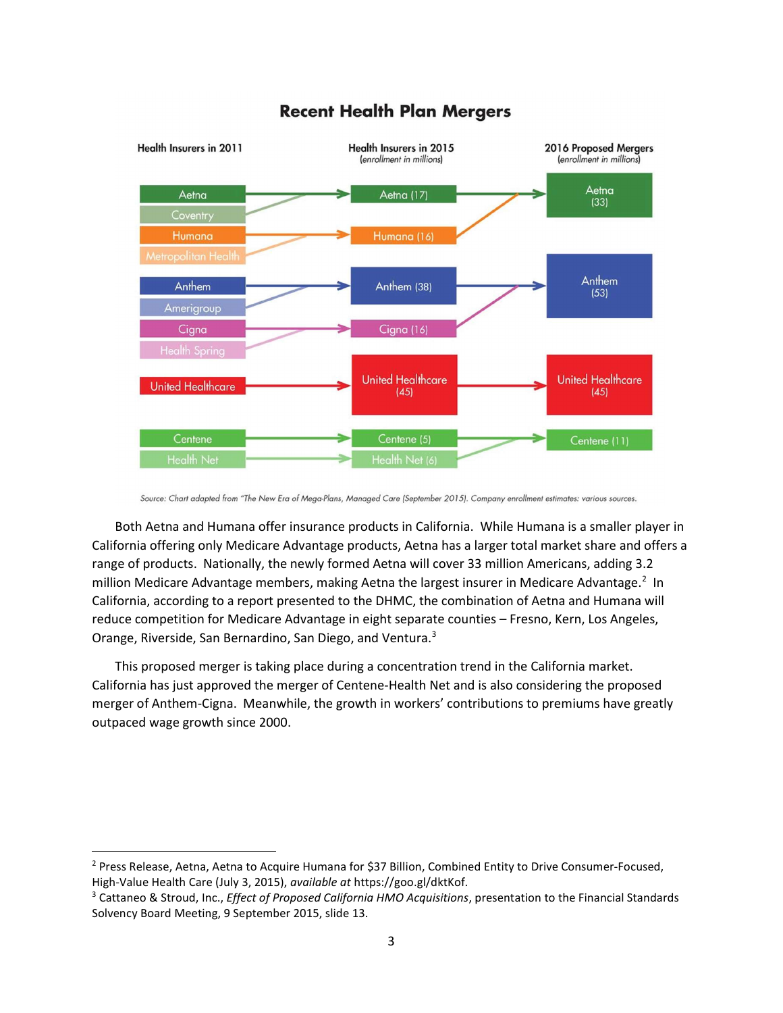

# **Recent Health Plan Mergers**

Both Aetna and Humana offer insurance products in California. While Humana is a smaller player in California offering only Medicare Advantage products, Aetna has a larger total market share and offers a range of products. Nationally, the newly formed Aetna will cover 33 million Americans, adding 3.2 million Medicare Advantage members, making Aetna the largest insurer in Medicare Advantage.<sup>2</sup> In California, according to a report presented to the DHMC, the combination of Aetna and Humana will reduce competition for Medicare Advantage in eight separate counties – Fresno, Kern, Los Angeles, Orange, Riverside, San Bernardino, San Diego, and Ventura.<sup>3</sup>

This proposed merger is taking place during a concentration trend in the California market. California has just approved the merger of Centene-Health Net and is also considering the proposed merger of Anthem-Cigna. Meanwhile, the growth in workers' contributions to premiums have greatly outpaced wage growth since 2000.

Source: Chart adapted from "The New Era of Mega-Plans, Managed Care (September 2015). Company enrollment estimates: various sources.

<sup>&</sup>lt;sup>2</sup> Press Release, Aetna, Aetna to Acquire Humana for \$37 Billion, Combined Entity to Drive Consumer-Focused, High-Value Health Care (July 3, 2015), available at https://goo.gl/dktKof.

<sup>&</sup>lt;sup>3</sup> Cattaneo & Stroud, Inc., *Effect of Proposed California HMO Acquisitions*, presentation to the Financial Standards Solvency Board Meeting, 9 September 2015, slide 13.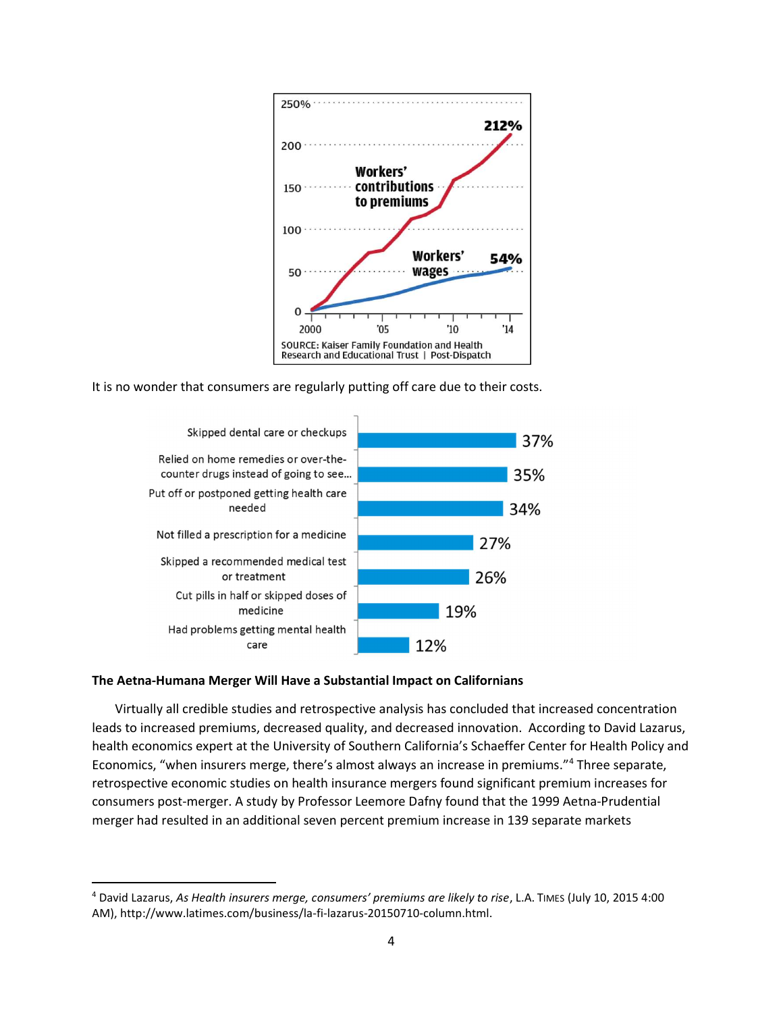

It is no wonder that consumers are regularly putting off care due to their costs.



# The Aetna-Humana Merger Will Have a Substantial Impact on Californians

 $\overline{a}$ 

Virtually all credible studies and retrospective analysis has concluded that increased concentration leads to increased premiums, decreased quality, and decreased innovation. According to David Lazarus, health economics expert at the University of Southern California's Schaeffer Center for Health Policy and Economics, "when insurers merge, there's almost always an increase in premiums."<sup>4</sup> Three separate, retrospective economic studies on health insurance mergers found significant premium increases for consumers post-merger. A study by Professor Leemore Dafny found that the 1999 Aetna-Prudential merger had resulted in an additional seven percent premium increase in 139 separate markets

<sup>4</sup> David Lazarus, As Health insurers merge, consumers' premiums are likely to rise, L.A. TIMES (July 10, 2015 4:00 AM), http://www.latimes.com/business/la-fi-lazarus-20150710-column.html.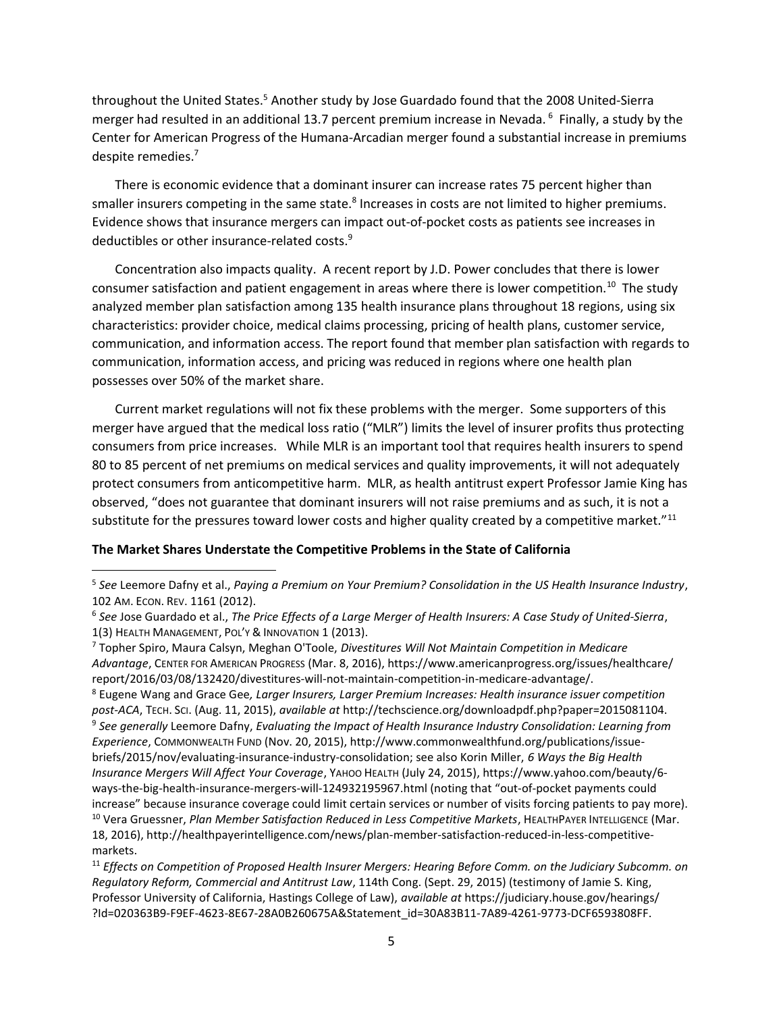throughout the United States.<sup>5</sup> Another study by Jose Guardado found that the 2008 United-Sierra merger had resulted in an additional 13.7 percent premium increase in Nevada.<sup>6</sup> Finally, a study by the Center for American Progress of the Humana-Arcadian merger found a substantial increase in premiums despite remedies.<sup>7</sup>

There is economic evidence that a dominant insurer can increase rates 75 percent higher than smaller insurers competing in the same state.<sup>8</sup> Increases in costs are not limited to higher premiums. Evidence shows that insurance mergers can impact out-of-pocket costs as patients see increases in deductibles or other insurance-related costs.<sup>9</sup>

Concentration also impacts quality. A recent report by J.D. Power concludes that there is lower consumer satisfaction and patient engagement in areas where there is lower competition.<sup>10</sup> The study analyzed member plan satisfaction among 135 health insurance plans throughout 18 regions, using six characteristics: provider choice, medical claims processing, pricing of health plans, customer service, communication, and information access. The report found that member plan satisfaction with regards to communication, information access, and pricing was reduced in regions where one health plan possesses over 50% of the market share.

Current market regulations will not fix these problems with the merger. Some supporters of this merger have argued that the medical loss ratio ("MLR") limits the level of insurer profits thus protecting consumers from price increases. While MLR is an important tool that requires health insurers to spend 80 to 85 percent of net premiums on medical services and quality improvements, it will not adequately protect consumers from anticompetitive harm. MLR, as health antitrust expert Professor Jamie King has observed, "does not guarantee that dominant insurers will not raise premiums and as such, it is not a substitute for the pressures toward lower costs and higher quality created by a competitive market."<sup>11</sup>

### The Market Shares Understate the Competitive Problems in the State of California

<sup>8</sup> Eugene Wang and Grace Gee, Larger Insurers, Larger Premium Increases: Health insurance issuer competition post-ACA, TECH. SCI. (Aug. 11, 2015), available at http://techscience.org/downloadpdf.php?paper=2015081104. <sup>9</sup> See generally Leemore Dafny, Evaluating the Impact of Health Insurance Industry Consolidation: Learning from Experience, COMMONWEALTH FUND (Nov. 20, 2015), http://www.commonwealthfund.org/publications/issuebriefs/2015/nov/evaluating-insurance-industry-consolidation; see also Korin Miller, 6 Ways the Big Health Insurance Mergers Will Affect Your Coverage, YAHOO HEALTH (July 24, 2015), https://www.yahoo.com/beauty/6 ways-the-big-health-insurance-mergers-will-124932195967.html (noting that "out-of-pocket payments could increase" because insurance coverage could limit certain services or number of visits forcing patients to pay more). <sup>10</sup> Vera Gruessner, Plan Member Satisfaction Reduced in Less Competitive Markets, HEALTHPAYER INTELLIGENCE (Mar. 18, 2016), http://healthpayerintelligence.com/news/plan-member-satisfaction-reduced-in-less-competitivemarkets.

 $11$  Effects on Competition of Proposed Health Insurer Mergers: Hearing Before Comm. on the Judiciary Subcomm. on Regulatory Reform, Commercial and Antitrust Law, 114th Cong. (Sept. 29, 2015) (testimony of Jamie S. King, Professor University of California, Hastings College of Law), available at https://judiciary.house.gov/hearings/ ?Id=020363B9-F9EF-4623-8E67-28A0B260675A&Statement\_id=30A83B11-7A89-4261-9773-DCF6593808FF.

 $5$  See Leemore Dafny et al., Paying a Premium on Your Premium? Consolidation in the US Health Insurance Industry, 102 AM. ECON. REV. 1161 (2012).

 $6$  See Jose Guardado et al., The Price Effects of a Large Merger of Health Insurers: A Case Study of United-Sierra, 1(3) HEALTH MANAGEMENT, POL'Y & INNOVATION 1 (2013).

<sup>&</sup>lt;sup>7</sup> Topher Spiro, Maura Calsyn, Meghan O'Toole, Divestitures Will Not Maintain Competition in Medicare Advantage, CENTER FOR AMERICAN PROGRESS (Mar. 8, 2016), https://www.americanprogress.org/issues/healthcare/ report/2016/03/08/132420/divestitures-will-not-maintain-competition-in-medicare-advantage/.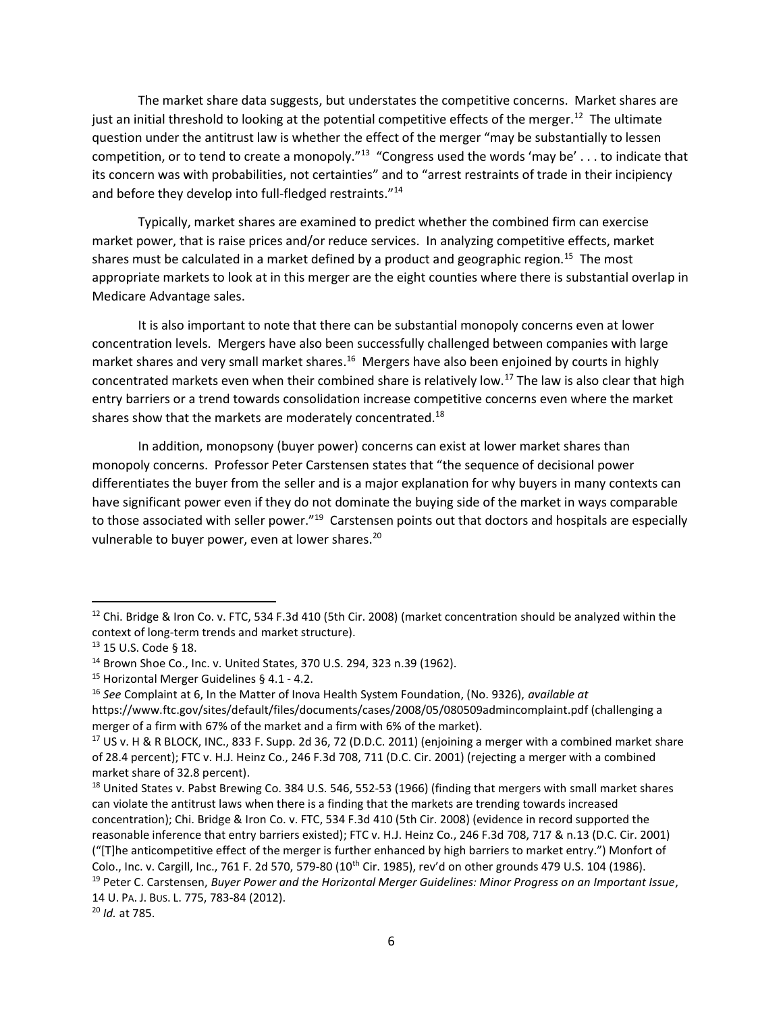The market share data suggests, but understates the competitive concerns. Market shares are just an initial threshold to looking at the potential competitive effects of the merger.<sup>12</sup> The ultimate question under the antitrust law is whether the effect of the merger "may be substantially to lessen competition, or to tend to create a monopoly."<sup>13</sup> "Congress used the words 'may be' . . . to indicate that its concern was with probabilities, not certainties" and to "arrest restraints of trade in their incipiency and before they develop into full-fledged restraints."<sup>14</sup>

Typically, market shares are examined to predict whether the combined firm can exercise market power, that is raise prices and/or reduce services. In analyzing competitive effects, market shares must be calculated in a market defined by a product and geographic region.<sup>15</sup> The most appropriate markets to look at in this merger are the eight counties where there is substantial overlap in Medicare Advantage sales.

It is also important to note that there can be substantial monopoly concerns even at lower concentration levels. Mergers have also been successfully challenged between companies with large market shares and very small market shares.<sup>16</sup> Mergers have also been enjoined by courts in highly concentrated markets even when their combined share is relatively low.<sup>17</sup> The law is also clear that high entry barriers or a trend towards consolidation increase competitive concerns even where the market shares show that the markets are moderately concentrated. $^{18}$ 

In addition, monopsony (buyer power) concerns can exist at lower market shares than monopoly concerns. Professor Peter Carstensen states that "the sequence of decisional power differentiates the buyer from the seller and is a major explanation for why buyers in many contexts can have significant power even if they do not dominate the buying side of the market in ways comparable to those associated with seller power."<sup>19</sup> Carstensen points out that doctors and hospitals are especially vulnerable to buyer power, even at lower shares.<sup>20</sup>

 $\overline{a}$ 

<sup>&</sup>lt;sup>12</sup> Chi. Bridge & Iron Co. v. FTC, 534 F.3d 410 (5th Cir. 2008) (market concentration should be analyzed within the context of long-term trends and market structure).

<sup>13</sup> 15 U.S. Code § 18.

<sup>14</sup> Brown Shoe Co., Inc. v. United States, 370 U.S. 294, 323 n.39 (1962).

<sup>15</sup> Horizontal Merger Guidelines § 4.1 - 4.2.

<sup>&</sup>lt;sup>16</sup> See Complaint at 6, In the Matter of Inova Health System Foundation, (No. 9326), available at https://www.ftc.gov/sites/default/files/documents/cases/2008/05/080509admincomplaint.pdf (challenging a

merger of a firm with 67% of the market and a firm with 6% of the market).

 $17$  US v. H & R BLOCK, INC., 833 F. Supp. 2d 36, 72 (D.D.C. 2011) (enjoining a merger with a combined market share of 28.4 percent); FTC v. H.J. Heinz Co., 246 F.3d 708, 711 (D.C. Cir. 2001) (rejecting a merger with a combined market share of 32.8 percent).

<sup>&</sup>lt;sup>18</sup> United States v. Pabst Brewing Co. 384 U.S. 546, 552-53 (1966) (finding that mergers with small market shares can violate the antitrust laws when there is a finding that the markets are trending towards increased concentration); Chi. Bridge & Iron Co. v. FTC, 534 F.3d 410 (5th Cir. 2008) (evidence in record supported the reasonable inference that entry barriers existed); FTC v. H.J. Heinz Co., 246 F.3d 708, 717 & n.13 (D.C. Cir. 2001) ("[T]he anticompetitive effect of the merger is further enhanced by high barriers to market entry.") Monfort of Colo., Inc. v. Cargill, Inc., 761 F. 2d 570, 579-80 (10th Cir. 1985), rev'd on other grounds 479 U.S. 104 (1986).  $19$  Peter C. Carstensen, Buyer Power and the Horizontal Merger Guidelines: Minor Progress on an Important Issue, 14 U. PA. J. BUS. L. 775, 783-84 (2012).

 $20$  *Id.* at 785.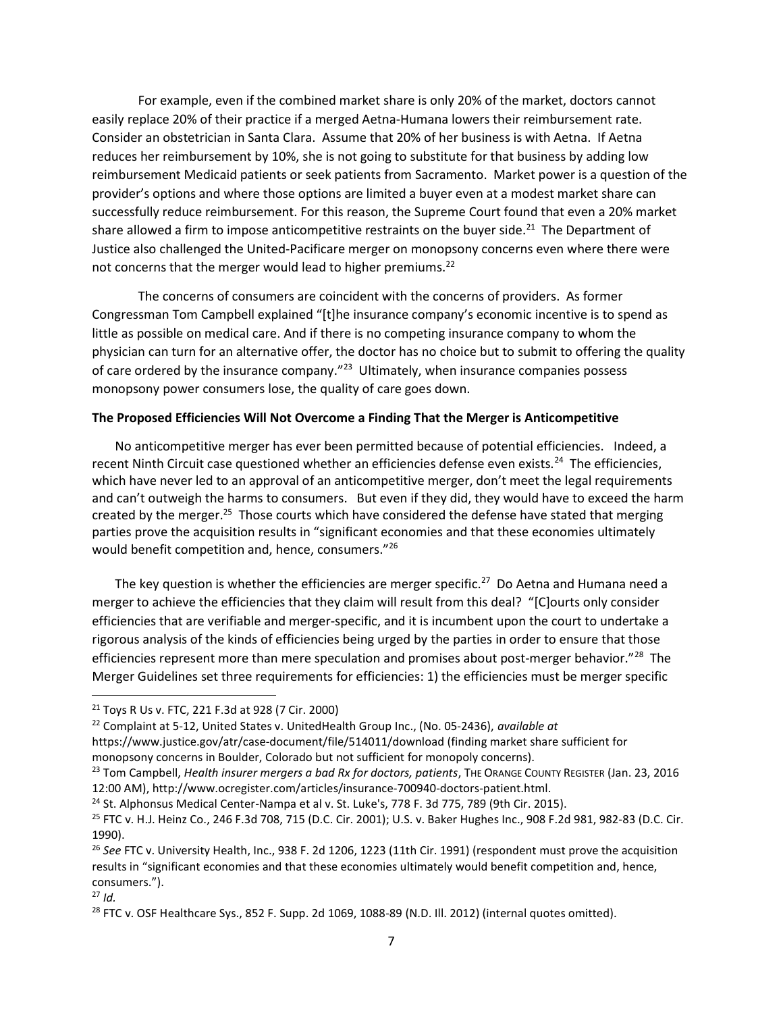For example, even if the combined market share is only 20% of the market, doctors cannot easily replace 20% of their practice if a merged Aetna-Humana lowers their reimbursement rate. Consider an obstetrician in Santa Clara. Assume that 20% of her business is with Aetna. If Aetna reduces her reimbursement by 10%, she is not going to substitute for that business by adding low reimbursement Medicaid patients or seek patients from Sacramento. Market power is a question of the provider's options and where those options are limited a buyer even at a modest market share can successfully reduce reimbursement. For this reason, the Supreme Court found that even a 20% market share allowed a firm to impose anticompetitive restraints on the buyer side.<sup>21</sup> The Department of Justice also challenged the United-Pacificare merger on monopsony concerns even where there were not concerns that the merger would lead to higher premiums.<sup>22</sup>

The concerns of consumers are coincident with the concerns of providers. As former Congressman Tom Campbell explained "[t]he insurance company's economic incentive is to spend as little as possible on medical care. And if there is no competing insurance company to whom the physician can turn for an alternative offer, the doctor has no choice but to submit to offering the quality of care ordered by the insurance company."<sup>23</sup> Ultimately, when insurance companies possess monopsony power consumers lose, the quality of care goes down.

#### The Proposed Efficiencies Will Not Overcome a Finding That the Merger is Anticompetitive

No anticompetitive merger has ever been permitted because of potential efficiencies. Indeed, a recent Ninth Circuit case questioned whether an efficiencies defense even exists.<sup>24</sup> The efficiencies, which have never led to an approval of an anticompetitive merger, don't meet the legal requirements and can't outweigh the harms to consumers. But even if they did, they would have to exceed the harm created by the merger.<sup>25</sup> Those courts which have considered the defense have stated that merging parties prove the acquisition results in "significant economies and that these economies ultimately would benefit competition and, hence, consumers."<sup>26</sup>

The key question is whether the efficiencies are merger specific.<sup>27</sup> Do Aetna and Humana need a merger to achieve the efficiencies that they claim will result from this deal? "[C]ourts only consider efficiencies that are verifiable and merger-specific, and it is incumbent upon the court to undertake a rigorous analysis of the kinds of efficiencies being urged by the parties in order to ensure that those efficiencies represent more than mere speculation and promises about post-merger behavior."<sup>28</sup> The Merger Guidelines set three requirements for efficiencies: 1) the efficiencies must be merger specific

https://www.justice.gov/atr/case-document/file/514011/download (finding market share sufficient for monopsony concerns in Boulder, Colorado but not sufficient for monopoly concerns).

<sup>21</sup> Toys R Us v. FTC, 221 F.3d at 928 (7 Cir. 2000)

 $22$  Complaint at 5-12, United States v. UnitedHealth Group Inc., (No. 05-2436), available at

<sup>&</sup>lt;sup>23</sup> Tom Campbell, *Health insurer mergers a bad Rx for doctors, patients*, THE ORANGE COUNTY REGISTER (Jan. 23, 2016 12:00 AM), http://www.ocregister.com/articles/insurance-700940-doctors-patient.html.

 $24$  St. Alphonsus Medical Center-Nampa et al v. St. Luke's, 778 F. 3d 775, 789 (9th Cir. 2015).

<sup>25</sup> FTC v. H.J. Heinz Co., 246 F.3d 708, 715 (D.C. Cir. 2001); U.S. v. Baker Hughes Inc., 908 F.2d 981, 982-83 (D.C. Cir. 1990).

<sup>&</sup>lt;sup>26</sup> See FTC v. University Health, Inc., 938 F. 2d 1206, 1223 (11th Cir. 1991) (respondent must prove the acquisition results in "significant economies and that these economies ultimately would benefit competition and, hence, consumers.").

 $27$  Id.

<sup>&</sup>lt;sup>28</sup> FTC v. OSF Healthcare Sys., 852 F. Supp. 2d 1069, 1088-89 (N.D. Ill. 2012) (internal quotes omitted).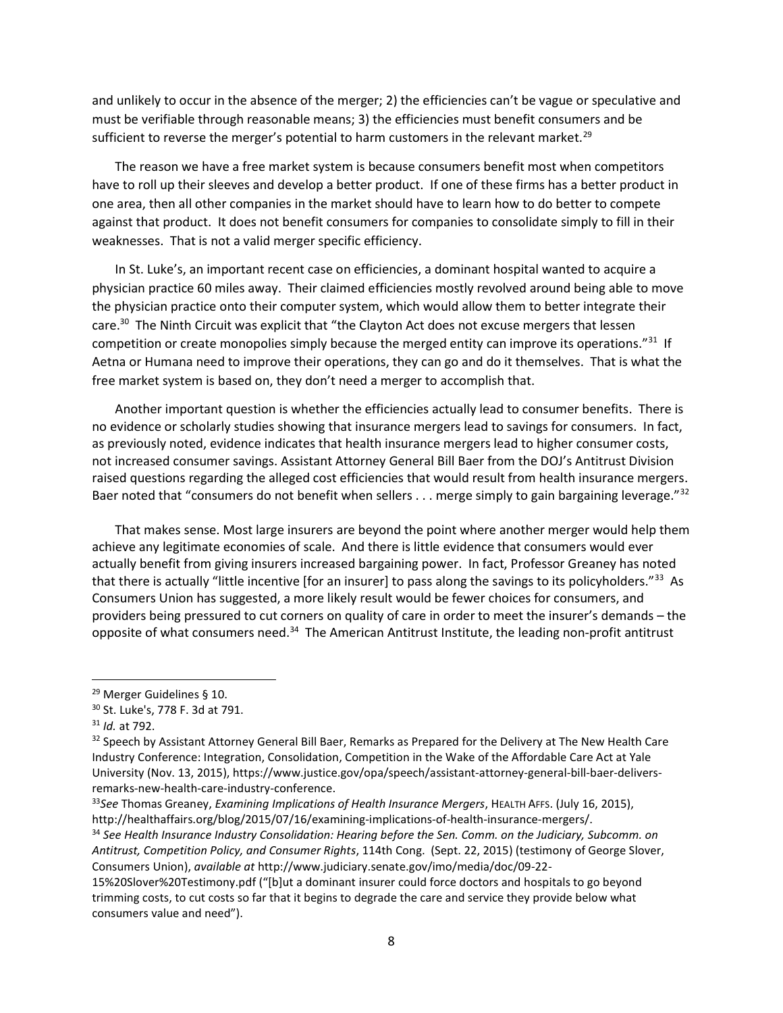and unlikely to occur in the absence of the merger; 2) the efficiencies can't be vague or speculative and must be verifiable through reasonable means; 3) the efficiencies must benefit consumers and be sufficient to reverse the merger's potential to harm customers in the relevant market.<sup>29</sup>

The reason we have a free market system is because consumers benefit most when competitors have to roll up their sleeves and develop a better product. If one of these firms has a better product in one area, then all other companies in the market should have to learn how to do better to compete against that product. It does not benefit consumers for companies to consolidate simply to fill in their weaknesses. That is not a valid merger specific efficiency.

In St. Luke's, an important recent case on efficiencies, a dominant hospital wanted to acquire a physician practice 60 miles away. Their claimed efficiencies mostly revolved around being able to move the physician practice onto their computer system, which would allow them to better integrate their care.<sup>30</sup> The Ninth Circuit was explicit that "the Clayton Act does not excuse mergers that lessen competition or create monopolies simply because the merged entity can improve its operations."<sup>31</sup> If Aetna or Humana need to improve their operations, they can go and do it themselves. That is what the free market system is based on, they don't need a merger to accomplish that.

Another important question is whether the efficiencies actually lead to consumer benefits. There is no evidence or scholarly studies showing that insurance mergers lead to savings for consumers. In fact, as previously noted, evidence indicates that health insurance mergers lead to higher consumer costs, not increased consumer savings. Assistant Attorney General Bill Baer from the DOJ's Antitrust Division raised questions regarding the alleged cost efficiencies that would result from health insurance mergers. Baer noted that "consumers do not benefit when sellers . . . merge simply to gain bargaining leverage."<sup>32</sup>

That makes sense. Most large insurers are beyond the point where another merger would help them achieve any legitimate economies of scale. And there is little evidence that consumers would ever actually benefit from giving insurers increased bargaining power. In fact, Professor Greaney has noted that there is actually "little incentive [for an insurer] to pass along the savings to its policyholders."<sup>33</sup> As Consumers Union has suggested, a more likely result would be fewer choices for consumers, and providers being pressured to cut corners on quality of care in order to meet the insurer's demands – the opposite of what consumers need.<sup>34</sup> The American Antitrust Institute, the leading non-profit antitrust

<sup>29</sup> Merger Guidelines § 10.

<sup>30</sup> St. Luke's, 778 F. 3d at 791.

<sup>31</sup> Id. at 792.

<sup>&</sup>lt;sup>32</sup> Speech by Assistant Attorney General Bill Baer, Remarks as Prepared for the Delivery at The New Health Care Industry Conference: Integration, Consolidation, Competition in the Wake of the Affordable Care Act at Yale University (Nov. 13, 2015), https://www.justice.gov/opa/speech/assistant-attorney-general-bill-baer-deliversremarks-new-health-care-industry-conference.

 $33$ See Thomas Greaney, Examining Implications of Health Insurance Mergers, HEALTH AFFS. (July 16, 2015), http://healthaffairs.org/blog/2015/07/16/examining-implications-of-health-insurance-mergers/.

<sup>&</sup>lt;sup>34</sup> See Health Insurance Industry Consolidation: Hearing before the Sen. Comm. on the Judiciary, Subcomm. on Antitrust, Competition Policy, and Consumer Rights, 114th Cong. (Sept. 22, 2015) (testimony of George Slover, Consumers Union), available at http://www.judiciary.senate.gov/imo/media/doc/09-22-

<sup>15%20</sup>Slover%20Testimony.pdf ("[b]ut a dominant insurer could force doctors and hospitals to go beyond trimming costs, to cut costs so far that it begins to degrade the care and service they provide below what consumers value and need").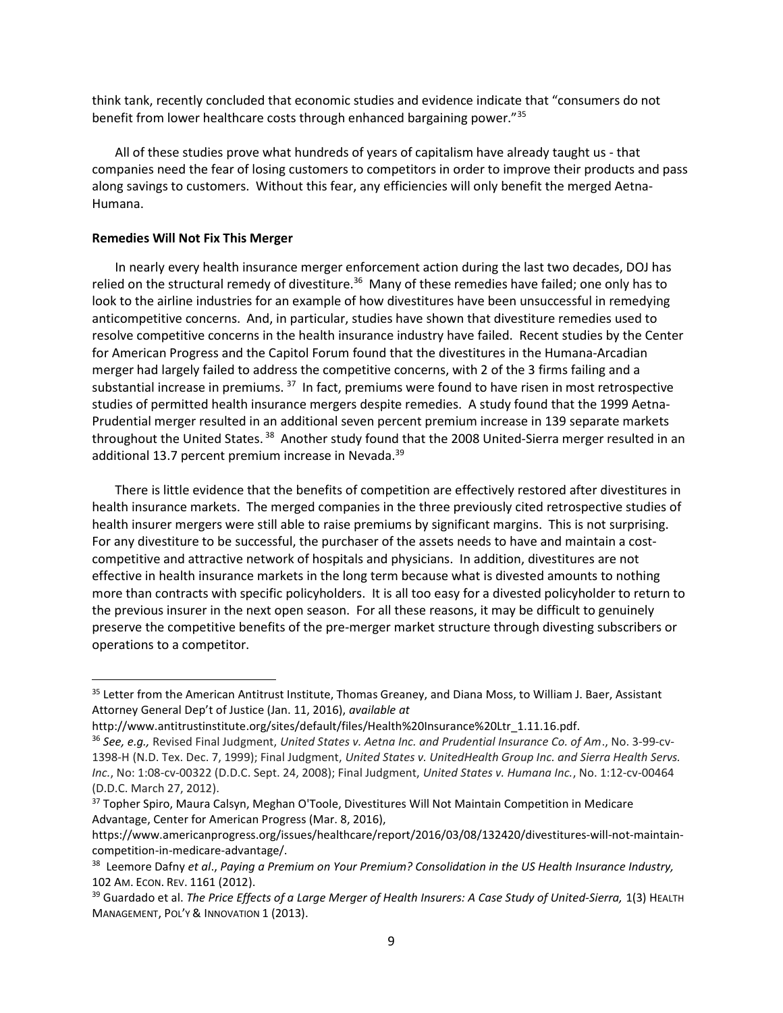think tank, recently concluded that economic studies and evidence indicate that "consumers do not benefit from lower healthcare costs through enhanced bargaining power."<sup>35</sup>

All of these studies prove what hundreds of years of capitalism have already taught us - that companies need the fear of losing customers to competitors in order to improve their products and pass along savings to customers. Without this fear, any efficiencies will only benefit the merged Aetna-Humana.

#### Remedies Will Not Fix This Merger

In nearly every health insurance merger enforcement action during the last two decades, DOJ has relied on the structural remedy of divestiture.<sup>36</sup> Many of these remedies have failed; one only has to look to the airline industries for an example of how divestitures have been unsuccessful in remedying anticompetitive concerns. And, in particular, studies have shown that divestiture remedies used to resolve competitive concerns in the health insurance industry have failed. Recent studies by the Center for American Progress and the Capitol Forum found that the divestitures in the Humana-Arcadian merger had largely failed to address the competitive concerns, with 2 of the 3 firms failing and a substantial increase in premiums.<sup>37</sup> In fact, premiums were found to have risen in most retrospective studies of permitted health insurance mergers despite remedies. A study found that the 1999 Aetna-Prudential merger resulted in an additional seven percent premium increase in 139 separate markets throughout the United States.<sup>38</sup> Another study found that the 2008 United-Sierra merger resulted in an additional 13.7 percent premium increase in Nevada.<sup>39</sup>

There is little evidence that the benefits of competition are effectively restored after divestitures in health insurance markets. The merged companies in the three previously cited retrospective studies of health insurer mergers were still able to raise premiums by significant margins. This is not surprising. For any divestiture to be successful, the purchaser of the assets needs to have and maintain a costcompetitive and attractive network of hospitals and physicians. In addition, divestitures are not effective in health insurance markets in the long term because what is divested amounts to nothing more than contracts with specific policyholders. It is all too easy for a divested policyholder to return to the previous insurer in the next open season. For all these reasons, it may be difficult to genuinely preserve the competitive benefits of the pre-merger market structure through divesting subscribers or operations to a competitor.

<sup>&</sup>lt;sup>35</sup> Letter from the American Antitrust Institute, Thomas Greaney, and Diana Moss, to William J. Baer, Assistant Attorney General Dep't of Justice (Jan. 11, 2016), available at

http://www.antitrustinstitute.org/sites/default/files/Health%20Insurance%20Ltr\_1.11.16.pdf.

<sup>&</sup>lt;sup>36</sup> See, e.g., Revised Final Judgment, United States v. Aetna Inc. and Prudential Insurance Co. of Am., No. 3-99-cv-1398-H (N.D. Tex. Dec. 7, 1999); Final Judgment, United States v. UnitedHealth Group Inc. and Sierra Health Servs. Inc., No: 1:08-cv-00322 (D.D.C. Sept. 24, 2008); Final Judgment, United States v. Humana Inc., No. 1:12-cv-00464 (D.D.C. March 27, 2012).

<sup>&</sup>lt;sup>37</sup> Topher Spiro, Maura Calsyn, Meghan O'Toole, Divestitures Will Not Maintain Competition in Medicare Advantage, Center for American Progress (Mar. 8, 2016),

https://www.americanprogress.org/issues/healthcare/report/2016/03/08/132420/divestitures-will-not-maintaincompetition-in-medicare-advantage/.

<sup>38</sup> Leemore Dafny et al., Paying a Premium on Your Premium? Consolidation in the US Health Insurance Industry, 102 AM. ECON. REV. 1161 (2012).

<sup>&</sup>lt;sup>39</sup> Guardado et al. The Price Effects of a Large Merger of Health Insurers: A Case Study of United-Sierra, 1(3) HEALTH MANAGEMENT, POL'Y & INNOVATION 1 (2013).